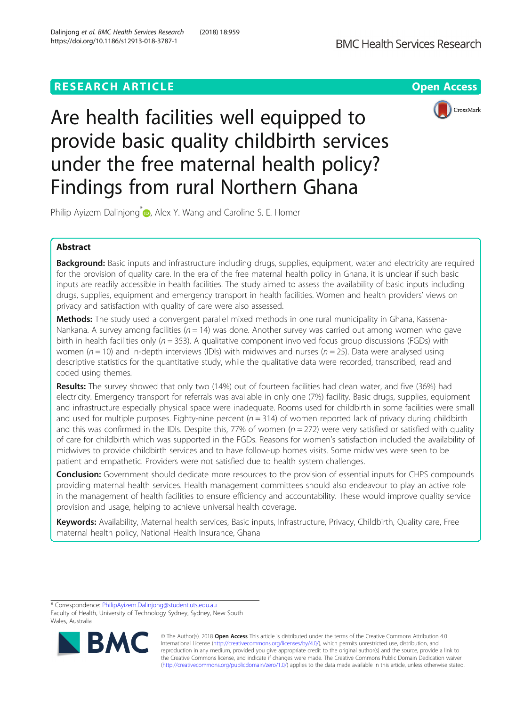# **RESEARCH ARTICLE Example 2014 12:30 The Open Access**



Are health facilities well equipped to provide basic quality childbirth services under the free maternal health policy? Findings from rural Northern Ghana

Philip Ayizem Dalinjong<sup>\*</sup> **D**[,](http://orcid.org/0000-0002-7982-9975) Alex Y. Wang and Caroline S. E. Homer

# Abstract

Background: Basic inputs and infrastructure including drugs, supplies, equipment, water and electricity are required for the provision of quality care. In the era of the free maternal health policy in Ghana, it is unclear if such basic inputs are readily accessible in health facilities. The study aimed to assess the availability of basic inputs including drugs, supplies, equipment and emergency transport in health facilities. Women and health providers' views on privacy and satisfaction with quality of care were also assessed.

Methods: The study used a convergent parallel mixed methods in one rural municipality in Ghana, Kassena-Nankana. A survey among facilities ( $n = 14$ ) was done. Another survey was carried out among women who gave birth in health facilities only ( $n = 353$ ). A qualitative component involved focus group discussions (FGDs) with women ( $n = 10$ ) and in-depth interviews (IDIs) with midwives and nurses ( $n = 25$ ). Data were analysed using descriptive statistics for the quantitative study, while the qualitative data were recorded, transcribed, read and coded using themes.

Results: The survey showed that only two (14%) out of fourteen facilities had clean water, and five (36%) had electricity. Emergency transport for referrals was available in only one (7%) facility. Basic drugs, supplies, equipment and infrastructure especially physical space were inadequate. Rooms used for childbirth in some facilities were small and used for multiple purposes. Eighty-nine percent ( $n = 314$ ) of women reported lack of privacy during childbirth and this was confirmed in the IDIs. Despite this, 77% of women ( $n = 272$ ) were very satisfied or satisfied with quality of care for childbirth which was supported in the FGDs. Reasons for women's satisfaction included the availability of midwives to provide childbirth services and to have follow-up homes visits. Some midwives were seen to be patient and empathetic. Providers were not satisfied due to health system challenges.

**Conclusion:** Government should dedicate more resources to the provision of essential inputs for CHPS compounds providing maternal health services. Health management committees should also endeavour to play an active role in the management of health facilities to ensure efficiency and accountability. These would improve quality service provision and usage, helping to achieve universal health coverage.

Keywords: Availability, Maternal health services, Basic inputs, Infrastructure, Privacy, Childbirth, Quality care, Free maternal health policy, National Health Insurance, Ghana

\* Correspondence: [PhilipAyizem.Dalinjong@student.uts.edu.au](mailto:PhilipAyizem.Dalinjong@student.uts.edu.au)

Wales, Australia



© The Author(s). 2018 Open Access This article is distributed under the terms of the Creative Commons Attribution 4.0 International License [\(http://creativecommons.org/licenses/by/4.0/](http://creativecommons.org/licenses/by/4.0/)), which permits unrestricted use, distribution, and reproduction in any medium, provided you give appropriate credit to the original author(s) and the source, provide a link to the Creative Commons license, and indicate if changes were made. The Creative Commons Public Domain Dedication waiver [\(http://creativecommons.org/publicdomain/zero/1.0/](http://creativecommons.org/publicdomain/zero/1.0/)) applies to the data made available in this article, unless otherwise stated.

Faculty of Health, University of Technology Sydney, Sydney, New South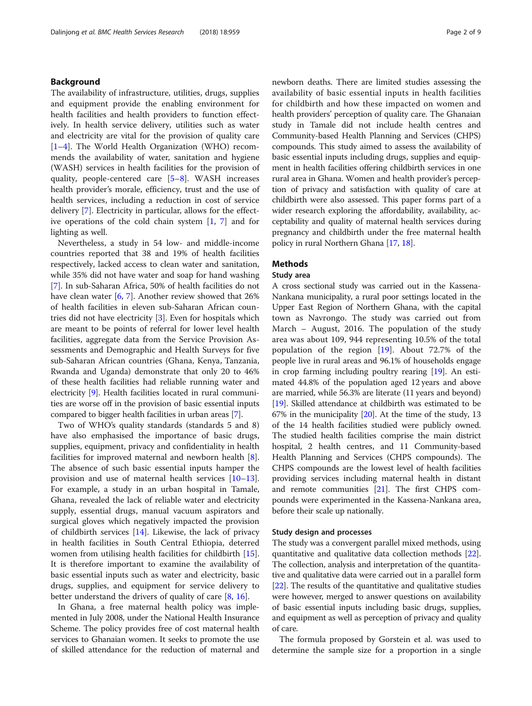# Background

The availability of infrastructure, utilities, drugs, supplies and equipment provide the enabling environment for health facilities and health providers to function effectively. In health service delivery, utilities such as water and electricity are vital for the provision of quality care [[1](#page-7-0)–[4\]](#page-7-0). The World Health Organization (WHO) recommends the availability of water, sanitation and hygiene (WASH) services in health facilities for the provision of quality, people-centered care [[5](#page-7-0)–[8](#page-7-0)]. WASH increases health provider's morale, efficiency, trust and the use of health services, including a reduction in cost of service delivery [[7](#page-7-0)]. Electricity in particular, allows for the effective operations of the cold chain system [[1,](#page-7-0) [7](#page-7-0)] and for lighting as well.

Nevertheless, a study in 54 low- and middle-income countries reported that 38 and 19% of health facilities respectively, lacked access to clean water and sanitation, while 35% did not have water and soap for hand washing [[7\]](#page-7-0). In sub-Saharan Africa, 50% of health facilities do not have clean water [\[6](#page-7-0), [7](#page-7-0)]. Another review showed that 26% of health facilities in eleven sub-Saharan African countries did not have electricity [\[3\]](#page-7-0). Even for hospitals which are meant to be points of referral for lower level health facilities, aggregate data from the Service Provision Assessments and Demographic and Health Surveys for five sub-Saharan African countries (Ghana, Kenya, Tanzania, Rwanda and Uganda) demonstrate that only 20 to 46% of these health facilities had reliable running water and electricity [\[9\]](#page-7-0). Health facilities located in rural communities are worse off in the provision of basic essential inputs compared to bigger health facilities in urban areas [\[7\]](#page-7-0).

Two of WHO's quality standards (standards 5 and 8) have also emphasised the importance of basic drugs, supplies, equipment, privacy and confidentiality in health facilities for improved maternal and newborn health [\[8](#page-7-0)]. The absence of such basic essential inputs hamper the provision and use of maternal health services [[10](#page-7-0)–[13](#page-7-0)]. For example, a study in an urban hospital in Tamale, Ghana, revealed the lack of reliable water and electricity supply, essential drugs, manual vacuum aspirators and surgical gloves which negatively impacted the provision of childbirth services [[14\]](#page-7-0). Likewise, the lack of privacy in health facilities in South Central Ethiopia, deterred women from utilising health facilities for childbirth [\[15](#page-8-0)]. It is therefore important to examine the availability of basic essential inputs such as water and electricity, basic drugs, supplies, and equipment for service delivery to better understand the drivers of quality of care [\[8](#page-7-0), [16](#page-8-0)].

In Ghana, a free maternal health policy was implemented in July 2008, under the National Health Insurance Scheme. The policy provides free of cost maternal health services to Ghanaian women. It seeks to promote the use of skilled attendance for the reduction of maternal and newborn deaths. There are limited studies assessing the availability of basic essential inputs in health facilities for childbirth and how these impacted on women and health providers' perception of quality care. The Ghanaian study in Tamale did not include health centres and Community-based Health Planning and Services (CHPS) compounds. This study aimed to assess the availability of basic essential inputs including drugs, supplies and equipment in health facilities offering childbirth services in one rural area in Ghana. Women and health provider's perception of privacy and satisfaction with quality of care at childbirth were also assessed. This paper forms part of a wider research exploring the affordability, availability, acceptability and quality of maternal health services during pregnancy and childbirth under the free maternal health policy in rural Northern Ghana [[17](#page-8-0), [18\]](#page-8-0).

## **Methods**

### Study area

A cross sectional study was carried out in the Kassena-Nankana municipality, a rural poor settings located in the Upper East Region of Northern Ghana, with the capital town as Navrongo. The study was carried out from March – August, 2016. The population of the study area was about 109, 944 representing 10.5% of the total population of the region [\[19](#page-8-0)]. About 72.7% of the people live in rural areas and 96.1% of households engage in crop farming including poultry rearing [[19](#page-8-0)]. An estimated 44.8% of the population aged 12 years and above are married, while 56.3% are literate (11 years and beyond) [[19](#page-8-0)]. Skilled attendance at childbirth was estimated to be 67% in the municipality [\[20\]](#page-8-0). At the time of the study, 13 of the 14 health facilities studied were publicly owned. The studied health facilities comprise the main district hospital, 2 health centres, and 11 Community-based Health Planning and Services (CHPS compounds). The CHPS compounds are the lowest level of health facilities providing services including maternal health in distant and remote communities [[21](#page-8-0)]. The first CHPS compounds were experimented in the Kassena-Nankana area, before their scale up nationally.

### Study design and processes

The study was a convergent parallel mixed methods, using quantitative and qualitative data collection methods [[22](#page-8-0)]. The collection, analysis and interpretation of the quantitative and qualitative data were carried out in a parallel form [[22](#page-8-0)]. The results of the quantitative and qualitative studies were however, merged to answer questions on availability of basic essential inputs including basic drugs, supplies, and equipment as well as perception of privacy and quality of care.

The formula proposed by Gorstein et al. was used to determine the sample size for a proportion in a single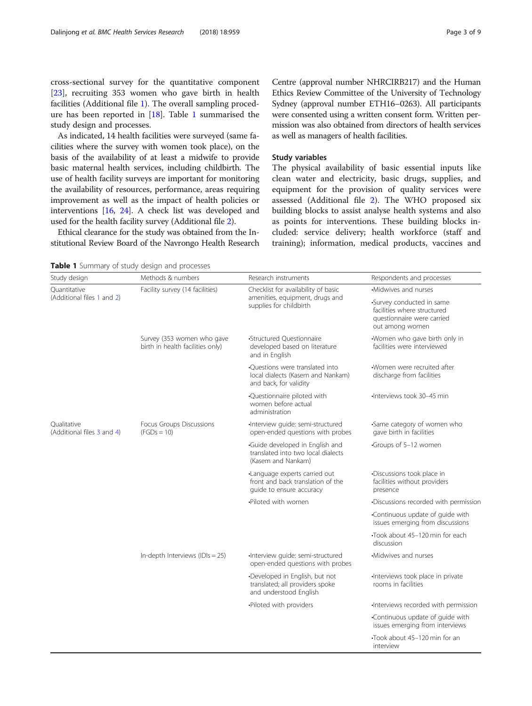cross-sectional survey for the quantitative component [[23\]](#page-8-0), recruiting 353 women who gave birth in health facilities (Additional file [1](#page-7-0)). The overall sampling procedure has been reported in [[18](#page-8-0)]. Table 1 summarised the study design and processes.

As indicated, 14 health facilities were surveyed (same facilities where the survey with women took place), on the basis of the availability of at least a midwife to provide basic maternal health services, including childbirth. The use of health facility surveys are important for monitoring the availability of resources, performance, areas requiring improvement as well as the impact of health policies or interventions [[16](#page-8-0), [24\]](#page-8-0). A check list was developed and used for the health facility survey (Additional file [2](#page-7-0)).

Ethical clearance for the study was obtained from the Institutional Review Board of the Navrongo Health Research

Centre (approval number NHRCIRB217) and the Human Ethics Review Committee of the University of Technology Sydney (approval number ETH16–0263). All participants were consented using a written consent form. Written permission was also obtained from directors of health services as well as managers of health facilities.

### Study variables

The physical availability of basic essential inputs like clean water and electricity, basic drugs, supplies, and equipment for the provision of quality services were assessed (Additional file [2\)](#page-7-0). The WHO proposed six building blocks to assist analyse health systems and also as points for interventions. These building blocks included: service delivery; health workforce (staff and training); information, medical products, vaccines and

| Table 1 Summary of study design and processes |                                                                |                                                                                                   |                                                                                                           |  |  |
|-----------------------------------------------|----------------------------------------------------------------|---------------------------------------------------------------------------------------------------|-----------------------------------------------------------------------------------------------------------|--|--|
| Study design                                  | Methods & numbers                                              | Research instruments                                                                              | Respondents and processes                                                                                 |  |  |
| Quantitative<br>(Additional files 1 and 2)    | Facility survey (14 facilities)                                | Checklist for availability of basic<br>amenities, equipment, drugs and<br>supplies for childbirth | Midwives and nurses                                                                                       |  |  |
|                                               |                                                                |                                                                                                   | •Survey conducted in same<br>facilities where structured<br>questionnaire were carried<br>out among women |  |  |
|                                               | Survey (353 women who gave<br>birth in health facilities only) | •Structured Ouestionnaire<br>developed based on literature<br>and in English                      | Women who gave birth only in<br>facilities were interviewed                                               |  |  |
|                                               |                                                                | Questions were translated into<br>local dialects (Kasem and Nankam)<br>and back, for validity     | Women were recruited after<br>discharge from facilities                                                   |  |  |
|                                               |                                                                | ·Questionnaire piloted with<br>women before actual<br>administration                              | -Interviews took 30-45 min                                                                                |  |  |
| Oualitative<br>(Additional files 3 and 4)     | Focus Groups Discussions<br>$(FGDs = 10)$                      | Interview quide: semi-structured<br>open-ended questions with probes                              | ·Same category of women who<br>gave birth in facilities                                                   |  |  |
|                                               |                                                                | Guide developed in English and<br>translated into two local dialects<br>(Kasem and Nankam)        | Groups of 5-12 women                                                                                      |  |  |
|                                               |                                                                | ·Language experts carried out<br>front and back translation of the<br>guide to ensure accuracy    | ·Discussions took place in<br>facilities without providers<br>presence                                    |  |  |
|                                               |                                                                | ·Piloted with women                                                                               | ·Discussions recorded with permission                                                                     |  |  |
|                                               |                                                                |                                                                                                   | •Continuous update of quide with<br>issues emerging from discussions                                      |  |  |
|                                               |                                                                |                                                                                                   | •Took about 45-120 min for each<br>discussion                                                             |  |  |
|                                               | In-depth Interviews (IDIs $= 25$ )                             | Interview quide: semi-structured<br>open-ended questions with probes                              | •Midwives and nurses                                                                                      |  |  |
|                                               |                                                                | Developed in English, but not<br>translated; all providers spoke<br>and understood English        | Interviews took place in private<br>rooms in facilities                                                   |  |  |
|                                               |                                                                | .Piloted with providers                                                                           | Interviews recorded with permission                                                                       |  |  |
|                                               |                                                                |                                                                                                   | •Continuous update of quide with<br>issues emerging from interviews                                       |  |  |
|                                               |                                                                |                                                                                                   | •Took about 45-120 min for an<br>interview                                                                |  |  |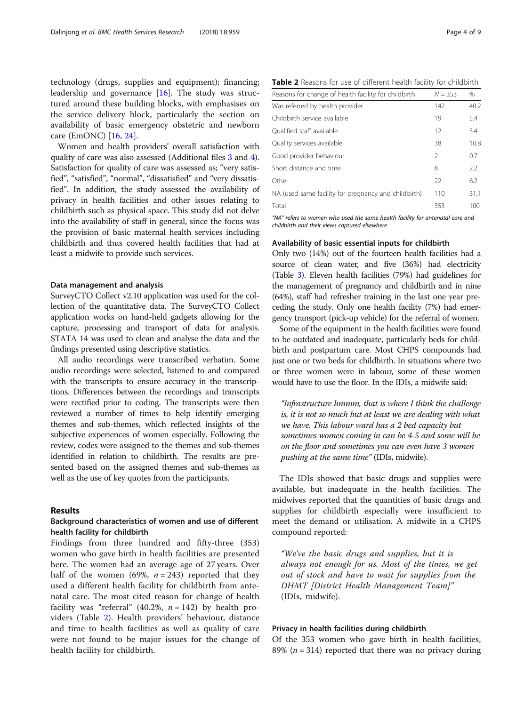technology (drugs, supplies and equipment); financing; leadership and governance  $[16]$ . The study was structured around these building blocks, with emphasises on the service delivery block, particularly the section on availability of basic emergency obstetric and newborn care (EmONC) [[16](#page-8-0), [24](#page-8-0)].

Women and health providers' overall satisfaction with quality of care was also assessed (Additional files [3](#page-7-0) and [4](#page-7-0)). Satisfaction for quality of care was assessed as; "very satisfied", "satisfied", "normal", "dissatisfied" and "very dissatisfied". In addition, the study assessed the availability of privacy in health facilities and other issues relating to childbirth such as physical space. This study did not delve into the availability of staff in general, since the focus was the provision of basic maternal health services including childbirth and thus covered health facilities that had at least a midwife to provide such services.

### Data management and analysis

SurveyCTO Collect v2.10 application was used for the collection of the quantitative data. The SurveyCTO Collect application works on hand-held gadgets allowing for the capture, processing and transport of data for analysis. STATA 14 was used to clean and analyse the data and the findings presented using descriptive statistics.

All audio recordings were transcribed verbatim. Some audio recordings were selected, listened to and compared with the transcripts to ensure accuracy in the transcriptions. Differences between the recordings and transcripts were rectified prior to coding. The transcripts were then reviewed a number of times to help identify emerging themes and sub-themes, which reflected insights of the subjective experiences of women especially. Following the review, codes were assigned to the themes and sub-themes identified in relation to childbirth. The results are presented based on the assigned themes and sub-themes as well as the use of key quotes from the participants.

### Results

# Background characteristics of women and use of different health facility for childbirth

Findings from three hundred and fifty-three (353) women who gave birth in health facilities are presented here. The women had an average age of 27 years. Over half of the women (69%,  $n = 243$ ) reported that they used a different health facility for childbirth from antenatal care. The most cited reason for change of health facility was "referral" (40.2%,  $n = 142$ ) by health providers (Table 2). Health providers' behaviour, distance and time to health facilities as well as quality of care were not found to be major issues for the change of health facility for childbirth.

Table 2 Reasons for use of different health facility for childbirth

| Reasons for change of health facility for childbirth | $N = 353$     | $\%$ |
|------------------------------------------------------|---------------|------|
| Was referred by health provider                      | 142           | 40.2 |
| Childbirth service available                         | 19            | 5.4  |
| Oualified staff available                            | 12            | 3.4  |
| Quality services available                           | 38            | 10.8 |
| Good provider behaviour                              | $\mathcal{P}$ | 0.7  |
| Short distance and time                              | 8             | 2.2  |
| Other                                                | 22            | 6.2  |
| NA (used same facility for pregnancy and childbirth) | 110           | 31.1 |
| Total                                                | 353           | 100  |

"NA" refers to women who used the same health facility for antenatal care and childbirth and their views captured elsewhere

## Availability of basic essential inputs for childbirth

Only two (14%) out of the fourteen health facilities had a source of clean water, and five (36%) had electricity (Table [3\)](#page-4-0). Eleven health facilities (79%) had guidelines for the management of pregnancy and childbirth and in nine (64%), staff had refresher training in the last one year preceding the study. Only one health facility (7%) had emergency transport (pick-up vehicle) for the referral of women.

Some of the equipment in the health facilities were found to be outdated and inadequate, particularly beds for childbirth and postpartum care. Most CHPS compounds had just one or two beds for childbirth. In situations where two or three women were in labour, some of these women would have to use the floor. In the IDIs, a midwife said:

"Infrastructure hmmm, that is where I think the challenge is, it is not so much but at least we are dealing with what we have. This labour ward has a 2 bed capacity but sometimes women coming in can be 4-5 and some will be on the floor and sometimes you can even have 3 women pushing at the same time" (IDIs, midwife).

The IDIs showed that basic drugs and supplies were available, but inadequate in the health facilities. The midwives reported that the quantities of basic drugs and supplies for childbirth especially were insufficient to meet the demand or utilisation. A midwife in a CHPS compound reported:

"We've the basic drugs and supplies, but it is always not enough for us. Most of the times, we get out of stock and have to wait for supplies from the DHMT [District Health Management Team]" (IDIs, midwife).

### Privacy in health facilities during childbirth

Of the 353 women who gave birth in health facilities, 89% ( $n = 314$ ) reported that there was no privacy during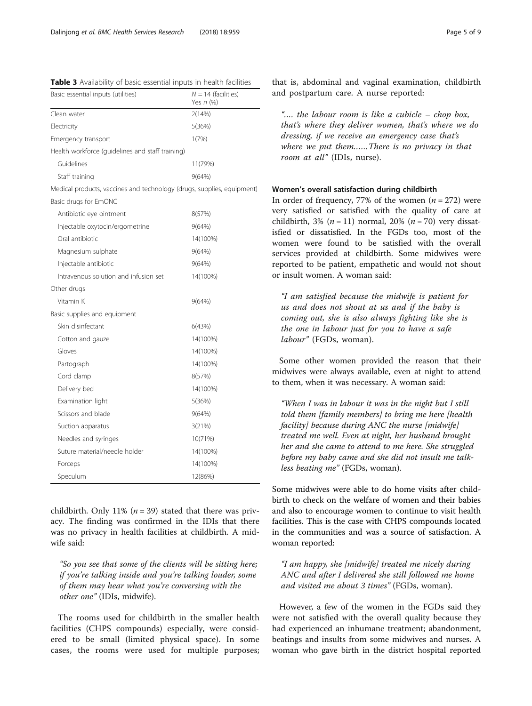<span id="page-4-0"></span>

| <b>Table 3</b> Availability of basic essential inputs in health facilities |  |  |  |
|----------------------------------------------------------------------------|--|--|--|
|----------------------------------------------------------------------------|--|--|--|

| Basic essential inputs (utilities)               | $N = 14$ (facilities)<br>Yes $n$ $(\%)$ |
|--------------------------------------------------|-----------------------------------------|
| Clean water                                      | 2(14%)                                  |
| Electricity                                      | 5(36%)                                  |
| Emergency transport                              | 1(7%)                                   |
| Health workforce (quidelines and staff training) |                                         |
| Guidelines                                       | 11(79%)                                 |
| Staff training                                   | 9(64%)                                  |

Medical products, vaccines and technology (drugs, supplies, equipment) Basic drugs for EmONC

| Antibiotic eye ointment               | 8(57%)   |
|---------------------------------------|----------|
| Injectable oxytocin/ergometrine       | 9(64%)   |
| Oral antibiotic                       | 14(100%) |
| Magnesium sulphate                    | 9(64%)   |
| Injectable antibiotic                 | 9(64%)   |
| Intravenous solution and infusion set | 14(100%) |
| Other drugs                           |          |
| Vitamin K                             | 9(64%)   |
| Basic supplies and equipment          |          |
| Skin disinfectant                     | 6(43%)   |
| Cotton and gauze                      | 14(100%) |
| Gloves                                | 14(100%) |
| Partograph                            | 14(100%) |
| Cord clamp                            | 8(57%)   |
| Delivery bed                          | 14(100%) |
| Examination light                     | 5(36%)   |
| Scissors and blade                    | 9(64%)   |
| Suction apparatus                     | 3(21%)   |
| Needles and syringes                  | 10(71%)  |
| Suture material/needle holder         | 14(100%) |
| Forceps                               | 14(100%) |
| Speculum                              | 12(86%)  |

childbirth. Only 11% ( $n = 39$ ) stated that there was privacy. The finding was confirmed in the IDIs that there was no privacy in health facilities at childbirth. A midwife said:

"So you see that some of the clients will be sitting here; if you're talking inside and you're talking louder, some of them may hear what you're conversing with the other one" (IDIs, midwife).

The rooms used for childbirth in the smaller health facilities (CHPS compounds) especially, were considered to be small (limited physical space). In some cases, the rooms were used for multiple purposes;

that is, abdominal and vaginal examination, childbirth and postpartum care. A nurse reported:

"…. the labour room is like a cubicle – chop box, that's where they deliver women, that's where we do dressing, if we receive an emergency case that's where we put them......There is no privacy in that room at all" (IDIs, nurse).

# Women's overall satisfaction during childbirth

In order of frequency, 77% of the women  $(n = 272)$  were very satisfied or satisfied with the quality of care at childbirth, 3% ( $n = 11$ ) normal, 20% ( $n = 70$ ) very dissatisfied or dissatisfied. In the FGDs too, most of the women were found to be satisfied with the overall services provided at childbirth. Some midwives were reported to be patient, empathetic and would not shout or insult women. A woman said:

"I am satisfied because the midwife is patient for us and does not shout at us and if the baby is coming out, she is also always fighting like she is the one in labour just for you to have a safe labour" (FGDs, woman).

Some other women provided the reason that their midwives were always available, even at night to attend to them, when it was necessary. A woman said:

"When I was in labour it was in the night but I still told them [family members] to bring me here [health facility] because during ANC the nurse [midwife] treated me well. Even at night, her husband brought her and she came to attend to me here. She struggled before my baby came and she did not insult me talkless beating me" (FGDs, woman).

Some midwives were able to do home visits after childbirth to check on the welfare of women and their babies and also to encourage women to continue to visit health facilities. This is the case with CHPS compounds located in the communities and was a source of satisfaction. A woman reported:

"I am happy, she [midwife] treated me nicely during ANC and after I delivered she still followed me home and visited me about 3 times" (FGDs, woman).

However, a few of the women in the FGDs said they were not satisfied with the overall quality because they had experienced an inhumane treatment; abandonment, beatings and insults from some midwives and nurses. A woman who gave birth in the district hospital reported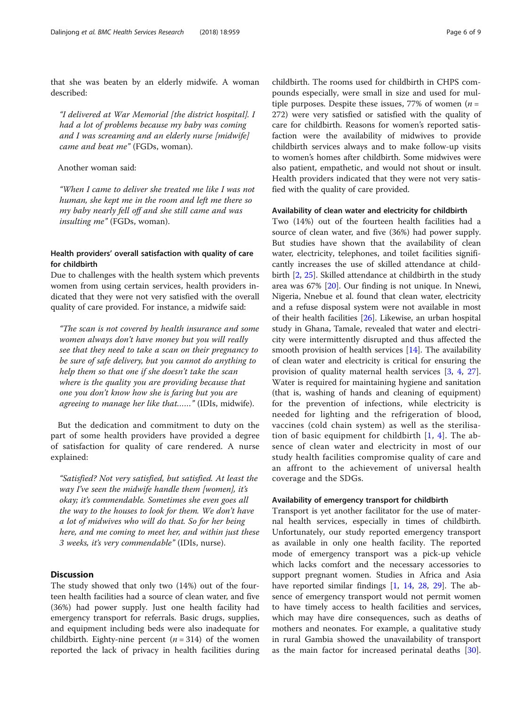that she was beaten by an elderly midwife. A woman described:

"I delivered at War Memorial [the district hospital]. I had a lot of problems because my baby was coming and I was screaming and an elderly nurse [midwife] came and beat me" (FGDs, woman).

Another woman said:

"When I came to deliver she treated me like I was not human, she kept me in the room and left me there so my baby nearly fell off and she still came and was insulting me" (FGDs, woman).

# Health providers' overall satisfaction with quality of care for childbirth

Due to challenges with the health system which prevents women from using certain services, health providers indicated that they were not very satisfied with the overall quality of care provided. For instance, a midwife said:

"The scan is not covered by health insurance and some women always don't have money but you will really see that they need to take a scan on their pregnancy to be sure of safe delivery, but you cannot do anything to help them so that one if she doesn't take the scan where is the quality you are providing because that one you don't know how she is faring but you are agreeing to manage her like that……" (IDIs, midwife).

But the dedication and commitment to duty on the part of some health providers have provided a degree of satisfaction for quality of care rendered. A nurse explained:

"Satisfied? Not very satisfied, but satisfied. At least the way I've seen the midwife handle them [women], it's okay; it's commendable. Sometimes she even goes all the way to the houses to look for them. We don't have a lot of midwives who will do that. So for her being here, and me coming to meet her, and within just these 3 weeks, it's very commendable" (IDIs, nurse).

# **Discussion**

The study showed that only two (14%) out of the fourteen health facilities had a source of clean water, and five (36%) had power supply. Just one health facility had emergency transport for referrals. Basic drugs, supplies, and equipment including beds were also inadequate for childbirth. Eighty-nine percent  $(n = 314)$  of the women reported the lack of privacy in health facilities during

childbirth. The rooms used for childbirth in CHPS compounds especially, were small in size and used for multiple purposes. Despite these issues, 77% of women ( $n =$ 272) were very satisfied or satisfied with the quality of care for childbirth. Reasons for women's reported satisfaction were the availability of midwives to provide childbirth services always and to make follow-up visits to women's homes after childbirth. Some midwives were also patient, empathetic, and would not shout or insult. Health providers indicated that they were not very satisfied with the quality of care provided.

### Availability of clean water and electricity for childbirth

Two (14%) out of the fourteen health facilities had a source of clean water, and five (36%) had power supply. But studies have shown that the availability of clean water, electricity, telephones, and toilet facilities significantly increases the use of skilled attendance at childbirth [[2,](#page-7-0) [25\]](#page-8-0). Skilled attendance at childbirth in the study area was 67% [[20](#page-8-0)]. Our finding is not unique. In Nnewi, Nigeria, Nnebue et al. found that clean water, electricity and a refuse disposal system were not available in most of their health facilities [[26\]](#page-8-0). Likewise, an urban hospital study in Ghana, Tamale, revealed that water and electricity were intermittently disrupted and thus affected the smooth provision of health services  $[14]$  $[14]$ . The availability of clean water and electricity is critical for ensuring the provision of quality maternal health services [[3,](#page-7-0) [4,](#page-7-0) [27](#page-8-0)]. Water is required for maintaining hygiene and sanitation (that is, washing of hands and cleaning of equipment) for the prevention of infections, while electricity is needed for lighting and the refrigeration of blood, vaccines (cold chain system) as well as the sterilisation of basic equipment for childbirth  $[1, 4]$  $[1, 4]$  $[1, 4]$  $[1, 4]$ . The absence of clean water and electricity in most of our study health facilities compromise quality of care and an affront to the achievement of universal health coverage and the SDGs.

### Availability of emergency transport for childbirth

Transport is yet another facilitator for the use of maternal health services, especially in times of childbirth. Unfortunately, our study reported emergency transport as available in only one health facility. The reported mode of emergency transport was a pick-up vehicle which lacks comfort and the necessary accessories to support pregnant women. Studies in Africa and Asia have reported similar findings [\[1,](#page-7-0) [14,](#page-7-0) [28](#page-8-0), [29\]](#page-8-0). The absence of emergency transport would not permit women to have timely access to health facilities and services, which may have dire consequences, such as deaths of mothers and neonates. For example, a qualitative study in rural Gambia showed the unavailability of transport as the main factor for increased perinatal deaths [\[30](#page-8-0)].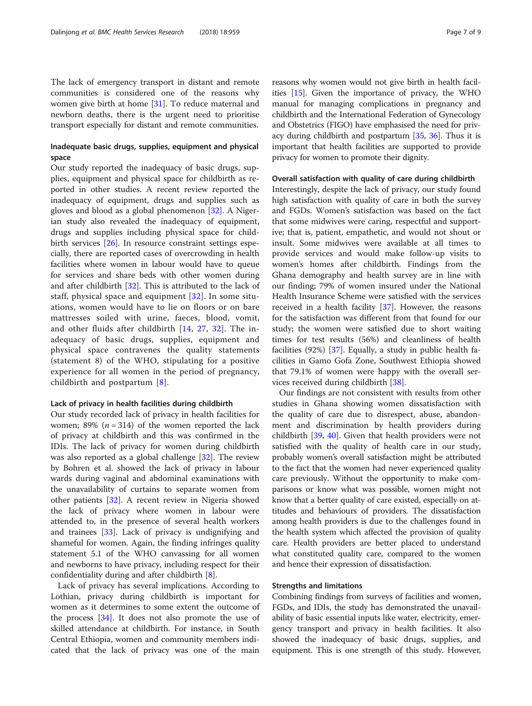The lack of emergency transport in distant and remote communities is considered one of the reasons why women give birth at home [\[31](#page-8-0)]. To reduce maternal and newborn deaths, there is the urgent need to prioritise transport especially for distant and remote communities.

# Inadequate basic drugs, supplies, equipment and physical space

Our study reported the inadequacy of basic drugs, supplies, equipment and physical space for childbirth as reported in other studies. A recent review reported the inadequacy of equipment, drugs and supplies such as gloves and blood as a global phenomenon [[32\]](#page-8-0). A Nigerian study also revealed the inadequacy of equipment, drugs and supplies including physical space for childbirth services [\[26\]](#page-8-0). In resource constraint settings especially, there are reported cases of overcrowding in health facilities where women in labour would have to queue for services and share beds with other women during and after childbirth [[32\]](#page-8-0). This is attributed to the lack of staff, physical space and equipment [[32\]](#page-8-0). In some situations, women would have to lie on floors or on bare mattresses soiled with urine, faeces, blood, vomit, and other fluids after childbirth [[14](#page-7-0), [27](#page-8-0), [32\]](#page-8-0). The inadequacy of basic drugs, supplies, equipment and physical space contravenes the quality statements (statement 8) of the WHO, stipulating for a positive experience for all women in the period of pregnancy, childbirth and postpartum [\[8](#page-7-0)].

### Lack of privacy in health facilities during childbirth

Our study recorded lack of privacy in health facilities for women; 89% ( $n = 314$ ) of the women reported the lack of privacy at childbirth and this was confirmed in the IDIs. The lack of privacy for women during childbirth was also reported as a global challenge [[32\]](#page-8-0). The review by Bohren et al. showed the lack of privacy in labour wards during vaginal and abdominal examinations with the unavailability of curtains to separate women from other patients [\[32](#page-8-0)]. A recent review in Nigeria showed the lack of privacy where women in labour were attended to, in the presence of several health workers and trainees [[33](#page-8-0)]. Lack of privacy is undignifying and shameful for women. Again, the finding infringes quality statement 5.1 of the WHO canvassing for all women and newborns to have privacy, including respect for their confidentiality during and after childbirth [\[8](#page-7-0)].

Lack of privacy has several implications. According to Lothian, privacy during childbirth is important for women as it determines to some extent the outcome of the process  $[34]$  $[34]$ . It does not also promote the use of skilled attendance at childbirth. For instance, in South Central Ethiopia, women and community members indicated that the lack of privacy was one of the main

reasons why women would not give birth in health facilities [\[15\]](#page-8-0). Given the importance of privacy, the WHO manual for managing complications in pregnancy and childbirth and the International Federation of Gynecology and Obstetrics (FIGO) have emphasised the need for privacy during childbirth and postpartum  $[35, 36]$  $[35, 36]$  $[35, 36]$  $[35, 36]$ . Thus it is important that health facilities are supported to provide privacy for women to promote their dignity.

# Overall satisfaction with quality of care during childbirth

Interestingly, despite the lack of privacy, our study found high satisfaction with quality of care in both the survey and FGDs. Women's satisfaction was based on the fact that some midwives were caring, respectful and supportive; that is, patient, empathetic, and would not shout or insult. Some midwives were available at all times to provide services and would make follow-up visits to women's homes after childbirth. Findings from the Ghana demography and health survey are in line with our finding; 79% of women insured under the National Health Insurance Scheme were satisfied with the services received in a health facility  $[37]$  $[37]$ . However, the reasons for the satisfaction was different from that found for our study; the women were satisfied due to short waiting times for test results (56%) and cleanliness of health facilities (92%) [\[37\]](#page-8-0). Equally, a study in public health facilities in Gamo Gofa Zone, Southwest Ethiopia showed that 79.1% of women were happy with the overall services received during childbirth [[38\]](#page-8-0).

Our findings are not consistent with results from other studies in Ghana showing women dissatisfaction with the quality of care due to disrespect, abuse, abandonment and discrimination by health providers during childbirth [\[39,](#page-8-0) [40](#page-8-0)]. Given that health providers were not satisfied with the quality of health care in our study, probably women's overall satisfaction might be attributed to the fact that the women had never experienced quality care previously. Without the opportunity to make comparisons or know what was possible, women might not know that a better quality of care existed, especially on attitudes and behaviours of providers. The dissatisfaction among health providers is due to the challenges found in the health system which affected the provision of quality care. Health providers are better placed to understand what constituted quality care, compared to the women and hence their expression of dissatisfaction.

### Strengths and limitations

Combining findings from surveys of facilities and women, FGDs, and IDIs, the study has demonstrated the unavailability of basic essential inputs like water, electricity, emergency transport and privacy in health facilities. It also showed the inadequacy of basic drugs, supplies, and equipment. This is one strength of this study. However,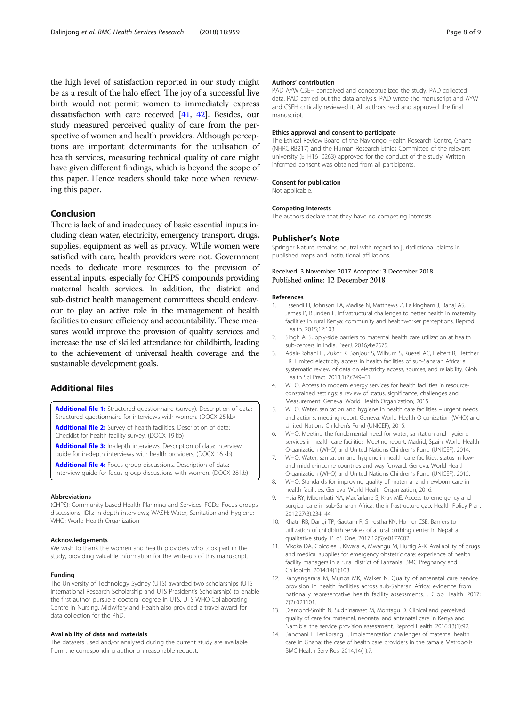<span id="page-7-0"></span>the high level of satisfaction reported in our study might be as a result of the halo effect. The joy of a successful live birth would not permit women to immediately express dissatisfaction with care received [\[41,](#page-8-0) [42\]](#page-8-0). Besides, our study measured perceived quality of care from the perspective of women and health providers. Although perceptions are important determinants for the utilisation of health services, measuring technical quality of care might have given different findings, which is beyond the scope of this paper. Hence readers should take note when reviewing this paper.

# Conclusion

There is lack of and inadequacy of basic essential inputs including clean water, electricity, emergency transport, drugs, supplies, equipment as well as privacy. While women were satisfied with care, health providers were not. Government needs to dedicate more resources to the provision of essential inputs, especially for CHPS compounds providing maternal health services. In addition, the district and sub-district health management committees should endeavour to play an active role in the management of health facilities to ensure efficiency and accountability. These measures would improve the provision of quality services and increase the use of skilled attendance for childbirth, leading to the achievement of universal health coverage and the sustainable development goals.

# Additional files

[Additional file 1:](https://doi.org/10.1186/s12913-018-3787-1) Structured questionnaire (survey). Description of data: Structured questionnaire for interviews with women. (DOCX 25 kb) [Additional file 2:](https://doi.org/10.1186/s12913-018-3787-1) Survey of health facilities. Description of data:

Checklist for health facility survey. (DOCX 19 kb)

[Additional file 3:](https://doi.org/10.1186/s12913-018-3787-1) In-depth interviews. Description of data: Interview guide for in-depth interviews with health providers. (DOCX 16 kb)

[Additional file 4:](https://doi.org/10.1186/s12913-018-3787-1) Focus group discussions. Description of data:

Interview guide for focus group discussions with women. (DOCX 28 kb)

### Abbreviations

(CHPS): Community-based Health Planning and Services; FGDs: Focus groups discussions; IDIs: In-depth interviews; WASH: Water, Sanitation and Hygiene; WHO: World Health Organization

#### Acknowledgements

We wish to thank the women and health providers who took part in the study, providing valuable information for the write-up of this manuscript.

#### Funding

The University of Technology Sydney (UTS) awarded two scholarships (UTS International Research Scholarship and UTS President's Scholarship) to enable the first author pursue a doctoral degree in UTS. UTS WHO Collaborating Centre in Nursing, Midwifery and Health also provided a travel award for data collection for the PhD.

#### Availability of data and materials

The datasets used and/or analysed during the current study are available from the corresponding author on reasonable request.

### Authors' contribution

PAD AYW CSEH conceived and conceptualized the study. PAD collected data. PAD carried out the data analysis. PAD wrote the manuscript and AYW and CSEH critically reviewed it. All authors read and approved the final manuscript.

#### Ethics approval and consent to participate

The Ethical Review Board of the Navrongo Health Research Centre, Ghana (NHRCIRB217) and the Human Research Ethics Committee of the relevant university (ETH16–0263) approved for the conduct of the study. Written informed consent was obtained from all participants.

#### Consent for publication

Not applicable.

#### Competing interests

The authors declare that they have no competing interests.

### Publisher's Note

Springer Nature remains neutral with regard to jurisdictional claims in published maps and institutional affiliations.

### Received: 3 November 2017 Accepted: 3 December 2018 Published online: 12 December 2018

#### References

- 1. Essendi H, Johnson FA, Madise N, Matthews Z, Falkingham J, Bahaj AS, James P, Blunden L. Infrastructural challenges to better health in maternity facilities in rural Kenya: community and healthworker perceptions. Reprod Health. 2015;12:103.
- 2. Singh A. Supply-side barriers to maternal health care utilization at health sub-centers in India. PeerJ. 2016;4:e2675.
- 3. Adair-Rohani H, Zukor K, Bonjour S, Wilburn S, Kuesel AC, Hebert R, Fletcher ER. Limited electricity access in health facilities of sub-Saharan Africa: a systematic review of data on electricity access, sources, and reliability. Glob Health Sci Pract. 2013;1(2):249–61.
- 4. WHO. Access to modern energy services for health facilities in resourceconstrained settings: a review of status, significance, challenges and Measurement. Geneva: World Health Organization; 2015.
- 5. WHO. Water, sanitation and hygiene in health care facilities urgent needs and actions: meeting report. Geneva: World Health Organization (WHO) and United Nations Children's Fund (UNICEF); 2015.
- 6. WHO. Meeting the fundamental need for water, sanitation and hygiene services in health care facilities: Meeting report. Madrid, Spain: World Health Organization (WHO) and United Nations Children's Fund (UNICEF); 2014.
- 7. WHO. Water, sanitation and hygiene in health care facilities: status in lowand middle-income countries and way forward. Geneva: World Health Organization (WHO) and United Nations Children's Fund (UNICEF); 2015.
- 8. WHO. Standards for improving quality of maternal and newborn care in health facilities. Geneva: World Health Organization; 2016.
- 9. Hsia RY, Mbembati NA, Macfarlane S, Kruk ME. Access to emergency and surgical care in sub-Saharan Africa: the infrastructure gap. Health Policy Plan. 2012;27(3):234–44.
- 10. Khatri RB, Dangi TP, Gautam R, Shrestha KN, Homer CSE. Barriers to utilization of childbirth services of a rural birthing center in Nepal: a qualitative study. PLoS One. 2017;12(5):e0177602.
- 11. Mkoka DA, Goicolea I, Kiwara A, Mwangu M, Hurtig A-K. Availability of drugs and medical supplies for emergency obstetric care: experience of health facility managers in a rural district of Tanzania. BMC Pregnancy and Childbirth. 2014;14(1):108.
- 12. Kanyangarara M, Munos MK, Walker N. Quality of antenatal care service provision in health facilities across sub-Saharan Africa: evidence from nationally representative health facility assessments. J Glob Health. 2017; 7(2):021101.
- 13. Diamond-Smith N, Sudhinaraset M, Montagu D. Clinical and perceived quality of care for maternal, neonatal and antenatal care in Kenya and Namibia: the service provision assessment. Reprod Health. 2016;13(1):92.
- 14. Banchani E, Tenkorang E. Implementation challenges of maternal health care in Ghana: the case of health care providers in the tamale Metropolis. BMC Health Serv Res. 2014;14(1):7.